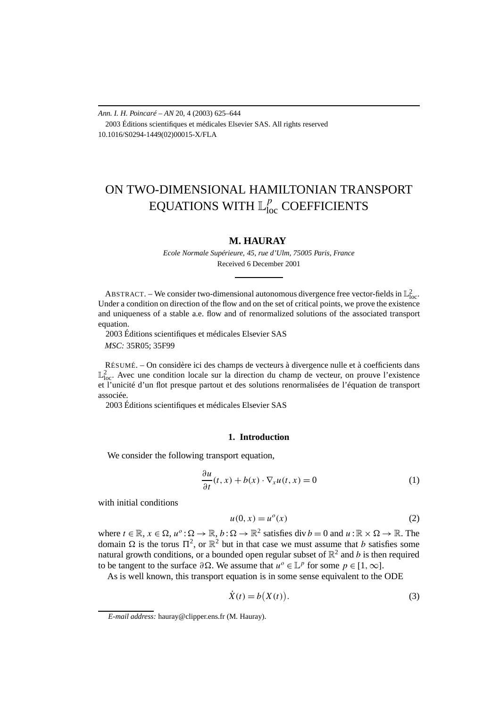*Ann. I. H. Poincaré – AN* 20, 4 (2003) 625–644 2003 Éditions scientifiques et médicales Elsevier SAS. All rights reserved 10.1016/S0294-1449(02)00015-X/FLA

# ON TWO-DIMENSIONAL HAMILTONIAN TRANSPORT EQUATIONS WITH  $\mathbb{L}^p_{\rm loc}$  COEFFICIENTS

## **M. HAURAY**

*Ecole Normale Supérieure, 45, rue d'Ulm, 75005 Paris, France* Received 6 December 2001

ABSTRACT. – We consider two-dimensional autonomous divergence free vector-fields in  $\mathbb{L}^2_{loc}$ . Under a condition on direction of the flow and on the set of critical points, we prove the existence and uniqueness of a stable a.e. flow and of renormalized solutions of the associated transport equation.

2003 Éditions scientifiques et médicales Elsevier SAS

*MSC:* 35R05; 35F99

RÉSUMÉ. – On considère ici des champs de vecteurs à divergence nulle et à coefficients dans  $\mathbb{L}^2_{loc}$ . Avec une condition locale sur la direction du champ de vecteur, on prouve l'existence et l'unicité d'un flot presque partout et des solutions renormalisées de l'équation de transport associée.

2003 Éditions scientifiques et médicales Elsevier SAS

### **1. Introduction**

We consider the following transport equation,

$$
\frac{\partial u}{\partial t}(t, x) + b(x) \cdot \nabla_x u(t, x) = 0 \tag{1}
$$

with initial conditions

$$
u(0, x) = uo(x)
$$
 (2)

where  $t \in \mathbb{R}$ ,  $x \in \Omega$ ,  $u^o : \Omega \to \mathbb{R}$ ,  $b : \Omega \to \mathbb{R}^2$  satisfies div  $b = 0$  and  $u : \mathbb{R} \times \Omega \to \mathbb{R}$ . The domain  $\Omega$  is the torus  $\Pi^2$ , or  $\mathbb{R}^2$  but in that case we must assume that *b* satisfies some natural growth conditions, or a bounded open regular subset of  $\mathbb{R}^2$  and *b* is then required to be tangent to the surface  $\partial \Omega$ . We assume that  $u^o \in \mathbb{L}^p$  for some  $p \in [1, \infty]$ .

As is well known, this transport equation is in some sense equivalent to the ODE

$$
\dot{X}(t) = b(X(t)).
$$
\n(3)

*E-mail address:* hauray@clipper.ens.fr (M. Hauray).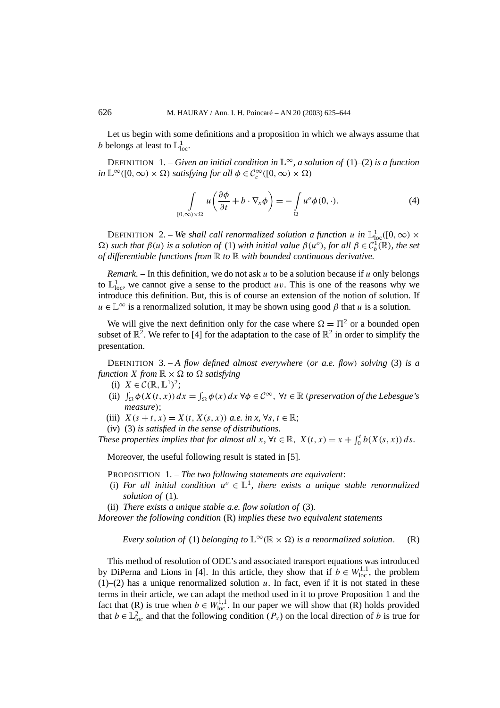Let us begin with some definitions and a proposition in which we always assume that *b* belongs at least to  $\mathbb{L}^1_{loc}$ .

DEFINITION 1. – *Given an initial condition in*  $\mathbb{L}^{\infty}$ *, a solution of* (1)–(2) *is a function*  $in \mathbb{L}^{\infty}([0, \infty) \times \Omega)$  *satisfying for all*  $\phi \in C_c^{\infty}([0, \infty) \times \Omega)$ 

$$
\int_{[0,\infty)\times\Omega} u\left(\frac{\partial\phi}{\partial t} + b \cdot \nabla_x \phi\right) = -\int_{\Omega} u^o \phi(0,\cdot). \tag{4}
$$

DEFINITION 2. – *We shall call renormalized solution a function <i>u* in  $\mathbb{L}^1_{loc}([0,\infty) \times$  $\Omega$ ) *such that*  $\beta(u)$  *is a solution of* (1) *with initial value*  $\beta(u^o)$ *, for all*  $\beta \in C_b^1(\mathbb{R})$ *, the set of differentiable functions from* R *to* R *with bounded continuous derivative.*

*Remark*. – In this definition, we do not ask *u* to be a solution because if *u* only belongs to  $\mathbb{L}^1_{loc}$ , we cannot give a sense to the product *uv*. This is one of the reasons why we introduce this definition. But, this is of course an extension of the notion of solution. If  $u \in \mathbb{L}^{\infty}$  is a renormalized solution, it may be shown using good  $\beta$  that *u* is a solution.

We will give the next definition only for the case where  $\Omega = \Pi^2$  or a bounded open subset of  $\mathbb{R}^2$ . We refer to [4] for the adaptation to the case of  $\mathbb{R}^2$  in order to simplify the presentation.

DEFINITION 3. – *A flow defined almost everywhere (or a.e. flow) solving* (3) *is a function*  $X$  *from*  $\mathbb{R} \times \Omega$  *to*  $\Omega$  *satisfying* 

- (i)  $X \in \mathcal{C}(\mathbb{R}, \mathbb{L}^1)^2$ ;
- (ii)  $\int_{\Omega} \phi(X(t, x)) dx = \int_{\Omega} \phi(x) dx \ \forall \phi \in C^{\infty}$ ,  $\forall t \in \mathbb{R}$  (*preservation of the Lebesgue's measure)*;
- (iii)  $X(s + t, x) = X(t, X(s, x))$  *a.e.* in x,  $\forall s, t \in \mathbb{R}$ ;
- (iv) (3) *is satisfied in the sense of distributions.*

*These properties implies that for almost all*  $x, \forall t \in \mathbb{R}, X(t, x) = x + \int_0^t b(X(s, x)) ds$ .

Moreover, the useful following result is stated in [5].

PROPOSITION 1. – *The two following statements are equivalent*:

- (i) *For all initial condition*  $u^{\circ} \in L^1$ *, there exists a unique stable renormalized solution of* (1)*.*
- (ii) *There exists a unique stable a.e. flow solution of* (3)*.*

*Moreover the following condition* (R) *implies these two equivalent statements*

*Every solution of* (1) *belonging to*  $\mathbb{L}^{\infty}(\mathbb{R} \times \Omega)$  *is a renormalized solution.* (R)

This method of resolution of ODE's and associated transport equations was introduced by DiPerna and Lions in [4]. In this article, they show that if  $b \in W^{1,1}_{loc}$ , the problem  $(1)$ – $(2)$  has a unique renormalized solution *u*. In fact, even if it is not stated in these terms in their article, we can adapt the method used in it to prove Proposition 1 and the fact that (R) is true when  $b \in W_{loc}^{1,1}$ . In our paper we will show that (R) holds provided that  $b \in \mathbb{L}^2_{loc}$  and that the following condition  $(P_x)$  on the local direction of *b* is true for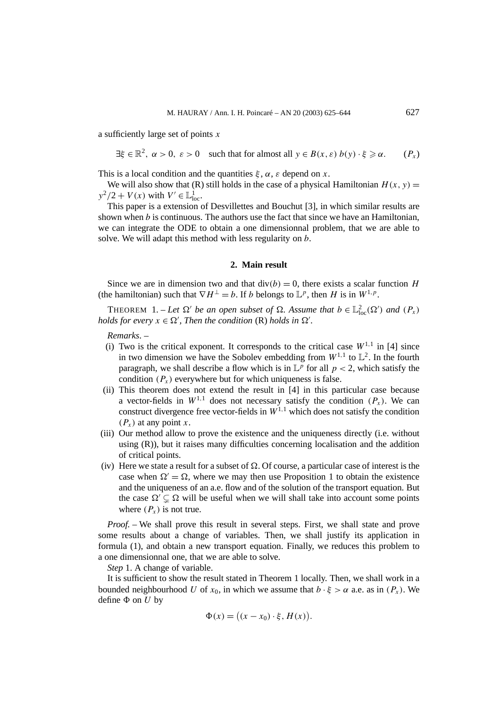a sufficiently large set of points *x*

$$
\exists \xi \in \mathbb{R}^2, \ \alpha > 0, \ \varepsilon > 0 \quad \text{such that for almost all } y \in B(x, \varepsilon) \ b(y) \cdot \xi \geq \alpha. \tag{P_x}
$$

This is a local condition and the quantities  $\xi$ ,  $\alpha$ ,  $\varepsilon$  depend on *x*.

We will also show that (R) still holds in the case of a physical Hamiltonian  $H(x, y) =$  $y^2/2 + V(x)$  with  $V' \in \mathbb{L}^1_{loc}$ .

This paper is a extension of Desvillettes and Bouchut [3], in which similar results are shown when *b* is continuous. The authors use the fact that since we have an Hamiltonian, we can integrate the ODE to obtain a one dimensionnal problem, that we are able to solve. We will adapt this method with less regularity on *b*.

#### **2. Main result**

Since we are in dimension two and that  $div(b) = 0$ , there exists a scalar function *H* (the hamiltonian) such that  $\nabla H^{\perp} = b$ . If *b* belongs to  $\mathbb{L}^p$ , then *H* is in  $W^{1,p}$ .

THEOREM 1. – Let  $\Omega'$  be an open subset of  $\Omega$ . Assume that  $b \in \mathbb{L}^2_{loc}(\Omega')$  and  $(P_x)$ *holds for every*  $x \in \Omega'$ , *Then the condition* (R) *holds in*  $\Omega'$ .

*Remarks*. –

- (i) Two is the critical exponent. It corresponds to the critical case  $W^{1,1}$  in [4] since in two dimension we have the Sobolev embedding from  $W^{1,1}$  to  $\mathbb{L}^2$ . In the fourth paragraph, we shall describe a flow which is in  $\mathbb{L}^p$  for all  $p < 2$ , which satisfy the condition  $(P_x)$  everywhere but for which uniqueness is false.
- (ii) This theorem does not extend the result in [4] in this particular case because a vector-fields in  $W^{1,1}$  does not necessary satisfy the condition  $(P_x)$ . We can construct divergence free vector-fields in  $W^{1,1}$  which does not satisfy the condition  $(P_x)$  at any point *x*.
- (iii) Our method allow to prove the existence and the uniqueness directly (i.e. without using (R)), but it raises many difficulties concerning localisation and the addition of critical points.
- (iv) Here we state a result for a subset of  $\Omega$ . Of course, a particular case of interest is the case when  $\Omega' = \Omega$ , where we may then use Proposition 1 to obtain the existence and the uniqueness of an a.e. flow and of the solution of the transport equation. But the case  $\Omega' \subseteq \Omega$  will be useful when we will shall take into account some points where  $(P_x)$  is not true.

*Proof. –* We shall prove this result in several steps. First, we shall state and prove some results about a change of variables. Then, we shall justify its application in formula (1), and obtain a new transport equation. Finally, we reduces this problem to a one dimensionnal one, that we are able to solve.

*Step* 1. A change of variable.

It is sufficient to show the result stated in Theorem 1 locally. Then, we shall work in a bounded neighbourhood *U* of  $x_0$ , in which we assume that  $b \cdot \xi > \alpha$  a.e. as in  $(P_x)$ . We define  $\Phi$  on  $U$  by

$$
\Phi(x) = ((x - x_0) \cdot \xi, H(x)).
$$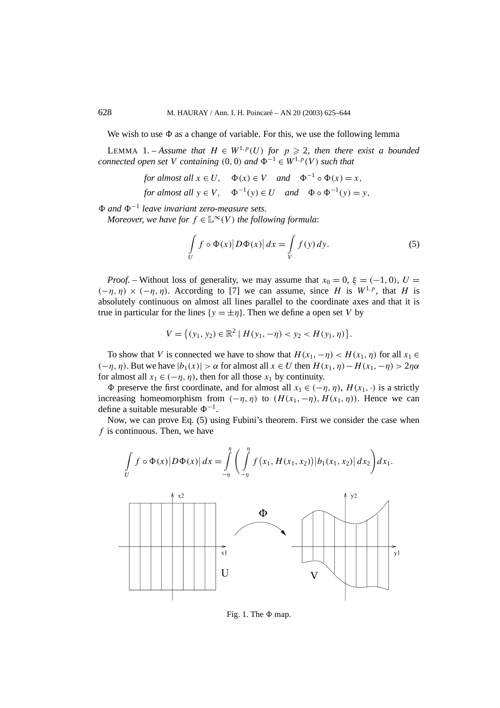We wish to use  $\Phi$  as a change of variable. For this, we use the following lemma

LEMMA 1. – *Assume that*  $H \in W^{1,p}(U)$  *for*  $p \ge 2$ *, then there exist a bounded connected open set V containing* (0*,* 0*) and*  $\Phi^{-1} \in W^{1,p}(V)$  *such that* 

for almost all 
$$
x \in U
$$
,  $\Phi(x) \in V$  and  $\Phi^{-1} \circ \Phi(x) = x$ ,  
for almost all  $y \in V$ ,  $\Phi^{-1}(y) \in U$  and  $\Phi \circ \Phi^{-1}(y) = y$ ,

*" and "*<sup>−</sup><sup>1</sup> *leave invariant zero-measure sets.*

*Moreover, we have for*  $f \in L^{\infty}(V)$  *the following formula:* 

$$
\int\limits_U f \circ \Phi(x) |D\Phi(x)| dx = \int\limits_V f(y) dy.
$$
\n(5)

*Proof.* – Without loss of generality, we may assume that  $x_0 = 0$ ,  $\xi = (-1, 0)$ ,  $U =$  $(−η, η) × (−η, η)$ . According to [7] we can assume, since *H* is *W*<sup>1*,p*</sup>, that *H* is absolutely continuous on almost all lines parallel to the coordinate axes and that it is true in particular for the lines  $\{y = \pm \eta\}$ . Then we define a open set *V* by

$$
V = \{(y_1, y_2) \in \mathbb{R}^2 \mid H(y_1, -\eta) < y_2 < H(y_1, \eta) \}.
$$

To show that *V* is connected we have to show that  $H(x_1, -\eta) < H(x_1, \eta)$  for all  $x_1 \in$ *(*−*η, η)*. But we have |*b*1*(x)*| *> α* for almost all *x* ∈ *U* then *H (x*1*, η)*−*H (x*1*,*−*η) >* 2*ηα* for almost all  $x_1 \in (-\eta, \eta)$ , then for all those  $x_1$  by continuity.

 $\Phi$  preserve the first coordinate, and for almost all  $x_1 \in (-\eta, \eta)$ ,  $H(x_1, \cdot)$  is a strictly increasing homeomorphism from  $(-\eta, \eta)$  to  $(H(x_1, -\eta), H(x_1, \eta))$ . Hence we can define a suitable mesurable  $\Phi^{-1}$ .

Now, we can prove Eq. (5) using Fubini's theorem. First we consider the case when *f* is continuous. Then, we have





Fig. 1. The  $\Phi$  map.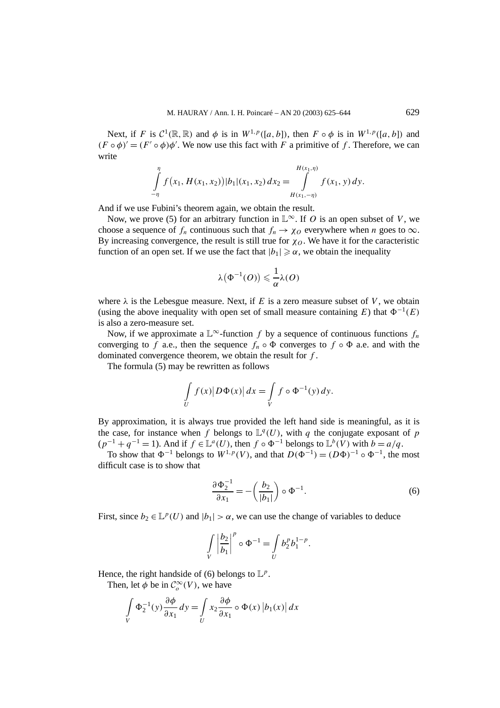Next, if *F* is  $C^1(\mathbb{R}, \mathbb{R})$  and  $\phi$  is in  $W^{1,p}([a, b])$ , then  $F \circ \phi$  is in  $W^{1,p}([a, b])$  and  $(F \circ \phi)' = (F' \circ \phi)\phi'$ . We now use this fact with *F* a primitive of *f*. Therefore, we can write

$$
\int_{-\eta}^{\eta} f(x_1, H(x_1, x_2)) |b_1|(x_1, x_2) dx_2 = \int_{H(x_1, -\eta)}^{H(x_1, \eta)} f(x_1, y) dy.
$$

And if we use Fubini's theorem again, we obtain the result.

Now, we prove (5) for an arbitrary function in  $\mathbb{L}^{\infty}$ . If *O* is an open subset of *V*, we choose a sequence of  $f_n$  continuous such that  $f_n \to \chi_0$  everywhere when *n* goes to  $\infty$ . By increasing convergence, the result is still true for  $\chi_0$ . We have it for the caracteristic function of an open set. If we use the fact that  $|b_1| \ge \alpha$ , we obtain the inequality

$$
\lambda\big(\Phi^{-1}(O)\big) \leqslant \frac{1}{\alpha}\lambda(O)
$$

where  $\lambda$  is the Lebesgue measure. Next, if *E* is a zero measure subset of *V*, we obtain (using the above inequality with open set of small measure containing *E*) that  $\Phi^{-1}(E)$ is also a zero-measure set.

Now, if we approximate a  $\mathbb{L}^{\infty}$ -function *f* by a sequence of continuous functions  $f_n$ converging to *f* a.e., then the sequence  $f_n \circ \Phi$  converges to  $f \circ \Phi$  a.e. and with the dominated convergence theorem, we obtain the result for *f* .

The formula (5) may be rewritten as follows

$$
\int\limits_U f(x) |D\Phi(x)| dx = \int\limits_V f \circ \Phi^{-1}(y) dy.
$$

By approximation, it is always true provided the left hand side is meaningful, as it is the case, for instance when *f* belongs to  $\mathbb{L}^q(U)$ , with *q* the conjugate exposant of *p*  $(p^{-1} + q^{-1} = 1)$ . And if  $f \in \mathbb{L}^a(U)$ , then  $f \circ \Phi^{-1}$  belongs to  $\mathbb{L}^b(V)$  with  $b = a/q$ .

To show that  $\Phi^{-1}$  belongs to  $W^{1,p}(V)$ , and that  $D(\Phi^{-1}) = (D\Phi)^{-1} \circ \Phi^{-1}$ , the most difficult case is to show that

$$
\frac{\partial \Phi_2^{-1}}{\partial x_1} = -\left(\frac{b_2}{|b_1|}\right) \circ \Phi^{-1}.\tag{6}
$$

First, since  $b_2 \in L^p(U)$  and  $|b_1| > \alpha$ , we can use the change of variables to deduce

$$
\int\limits_V\left|\frac{b_2}{b_1}\right|^p\circ\Phi^{-1}=\int\limits_U b_2^p b_1^{1-p}.
$$

Hence, the right handside of (6) belongs to  $\mathbb{L}^p$ .

Then, let  $\phi$  be in  $C_o^{\infty}(V)$ , we have

$$
\int\limits_V \Phi_2^{-1}(y) \frac{\partial \phi}{\partial x_1} dy = \int\limits_U x_2 \frac{\partial \phi}{\partial x_1} \circ \Phi(x) |b_1(x)| dx
$$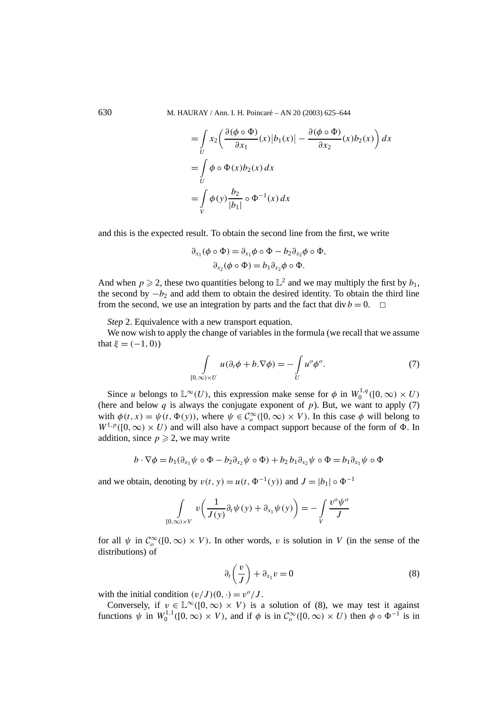630 M. HAURAY / Ann. I. H. Poincaré – AN 20 (2003) 625–644

$$
\begin{aligned}\n&= \int\limits_U x_2 \bigg( \frac{\partial (\phi \circ \Phi)}{\partial x_1}(x) |b_1(x)| - \frac{\partial (\phi \circ \Phi)}{\partial x_2}(x) b_2(x) \bigg) dx \\
&= \int\limits_U \phi \circ \Phi(x) b_2(x) dx \\
&= \int\limits_V \phi(y) \frac{b_2}{|b_1|} \circ \Phi^{-1}(x) dx\n\end{aligned}
$$

and this is the expected result. To obtain the second line from the first, we write

$$
\partial_{x_1}(\phi \circ \Phi) = \partial_{x_1} \phi \circ \Phi - b_2 \partial_{x_2} \phi \circ \Phi,
$$
  

$$
\partial_{x_2}(\phi \circ \Phi) = b_1 \partial_{x_2} \phi \circ \Phi.
$$

And when  $p \ge 2$ , these two quantities belong to  $\mathbb{L}^2$  and we may multiply the first by  $b_1$ , the second by  $-b_2$  and add them to obtain the desired identity. To obtain the third line from the second, we use an integration by parts and the fact that div  $b = 0$ .  $\Box$ 

*Step* 2. Equivalence with a new transport equation.

We now wish to apply the change of variables in the formula (we recall that we assume that  $\xi = (-1, 0)$ 

$$
\int_{[0,\infty)\times U} u(\partial_t \phi + b \cdot \nabla \phi) = -\int_U u^o \phi^o.
$$
\n(7)

Since *u* belongs to  $\mathbb{L}^{\infty}(U)$ , this expression make sense for  $\phi$  in  $W_0^{1,q}([0,\infty) \times U)$ (here and below  $q$  is always the conjugate exponent of  $p$ ). But, we want to apply (7) with  $\phi(t, x) = \psi(t, \Phi(y))$ , where  $\psi \in C_o^{\infty}([0, \infty) \times V)$ . In this case  $\phi$  will belong to  $W^{1,p}([0,\infty) \times U)$  and will also have a compact support because of the form of  $\Phi$ . In addition, since  $p \ge 2$ , we may write

$$
b\cdot\nabla\phi = b_1(\partial_{x_1}\psi \circ \Phi - b_2\partial_{x_2}\psi \circ \Phi) + b_2b_1\partial_{x_2}\psi \circ \Phi = b_1\partial_{x_1}\psi \circ \Phi
$$

and we obtain, denoting by  $v(t, y) = u(t, \Phi^{-1}(y))$  and  $J = |b_1| \circ \Phi^{-1}$ 

$$
\int\limits_{[0,\infty)\times V} v\left(\frac{1}{J(y)}\partial_t\psi(y) + \partial_{x_1}\psi(y)\right) = -\int\limits_V \frac{v^o\psi^o}{J}
$$

for all  $\psi$  in  $C_o^{\infty}([0,\infty) \times V)$ . In other words, *v* is solution in *V* (in the sense of the distributions) of

$$
\partial_t \left( \frac{v}{J} \right) + \partial_{x_1} v = 0 \tag{8}
$$

with the initial condition  $(v/J)(0, \cdot) = v^{\circ}/J$ .

Conversely, if  $v \in \mathbb{L}^{\infty}([0,\infty) \times V)$  is a solution of (8), we may test it against functions  $\psi$  in  $W_0^{1,1}([0,\infty) \times V)$ , and if  $\phi$  is in  $C_o^{\infty}([0,\infty) \times U)$  then  $\phi \circ \Phi^{-1}$  is in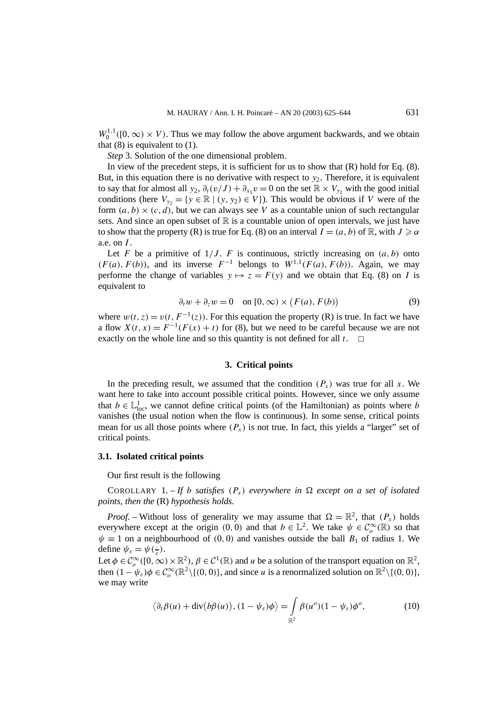$W_0^{1,1}([0,\infty) \times V)$ . Thus we may follow the above argument backwards, and we obtain that  $(8)$  is equivalent to  $(1)$ .

*Step* 3. Solution of the one dimensional problem.

In view of the precedent steps, it is sufficient for us to show that  $(R)$  hold for Eq.  $(8)$ . But, in this equation there is no derivative with respect to  $y_2$ . Therefore, it is equivalent to say that for almost all  $y_2$ ,  $\partial_t(v/J) + \partial_{x_1} v = 0$  on the set  $\mathbb{R} \times V_{y_2}$  with the good initial conditions (here  $V_{y2} = \{y \in \mathbb{R} \mid (y, y_2) \in V\}$ ). This would be obvious if *V* were of the form  $(a, b) \times (c, d)$ , but we can always see *V* as a countable union of such rectangular sets. And since an open subset of  $\mathbb R$  is a countable union of open intervals, we just have to show that the property (R) is true for Eq. (8) on an interval  $I = (a, b)$  of  $\mathbb{R}$ , with  $J \ge \alpha$ a.e. on *I* .

Let *F* be a primitive of  $1/J$ . *F* is continuous, strictly increasing on  $(a, b)$  onto  $(F(a), F(b))$ , and its inverse  $F^{-1}$  belongs to  $W^{1,1}(F(a), F(b))$ . Again, we may performe the change of variables  $y \mapsto z = F(y)$  and we obtain that Eq. (8) on *I* is equivalent to

$$
\partial_t w + \partial_z w = 0 \quad \text{on } [0, \infty) \times (F(a), F(b)) \tag{9}
$$

where  $w(t, z) = v(t, F^{-1}(z))$ . For this equation the property (R) is true. In fact we have a flow  $X(t, x) = F^{-1}(F(x) + t)$  for (8), but we need to be careful because we are not exactly on the whole line and so this quantity is not defined for all  $t$ .  $\Box$ 

#### **3. Critical points**

In the preceding result, we assumed that the condition  $(P_x)$  was true for all x. We want here to take into account possible critical points. However, since we only assume that  $b \in \mathbb{L}^1_{loc}$ , we cannot define critical points (of the Hamiltonian) as points where *b* vanishes (the usual notion when the flow is continuous). In some sense, critical points mean for us all those points where  $(P_x)$  is not true. In fact, this yields a "larger" set of critical points.

#### **3.1. Isolated critical points**

Our first result is the following

COROLLARY 1. – If *b* satisfies  $(P_x)$  everywhere in  $\Omega$  except on a set of isolated *points, then the* (R) *hypothesis holds.*

*Proof.* – Without loss of generality we may assume that  $\Omega = \mathbb{R}^2$ , that  $(P_x)$  holds everywhere except at the origin  $(0, 0)$  and that  $b \in \mathbb{L}^2$ . We take  $\psi \in C_o^{\infty}(\mathbb{R})$  so that  $\psi \equiv 1$  on a neighbourhood of (0,0) and vanishes outside the ball  $B_1$  of radius 1. We define  $\psi_{\varepsilon} = \psi(\frac{\cdot}{\varepsilon}).$ 

Let  $\phi \in C_o^{\infty}([0,\infty) \times \mathbb{R}^2)$ ,  $\beta \in C^1(\mathbb{R})$  and *u* be a solution of the transport equation on  $\mathbb{R}^2$ , then  $(1 - \psi_{\varepsilon})\phi \in C_o^{\infty}(\mathbb{R}^2 \setminus \{(0, 0)\},\)$  and since *u* is a renormalized solution on  $\mathbb{R}^2 \setminus \{(0, 0)\},\$ we may write

$$
\langle \partial_t \beta(u) + \operatorname{div}(b\beta(u)), (1 - \psi_{\varepsilon})\phi \rangle = \int_{\mathbb{R}^2} \beta(u^o)(1 - \psi_{\varepsilon})\phi^o, \tag{10}
$$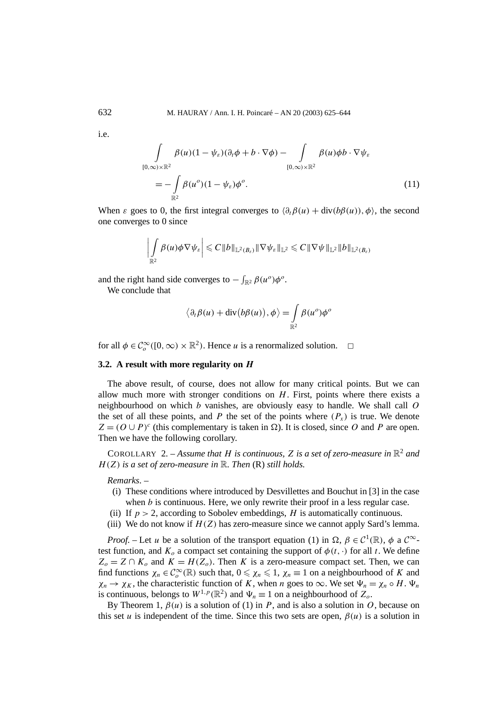$i.e.$ 

$$
\int_{[0,\infty)\times\mathbb{R}^2} \beta(u)(1-\psi_{\varepsilon})(\partial_t \phi + b \cdot \nabla \phi) - \int_{[0,\infty)\times\mathbb{R}^2} \beta(u)\phi b \cdot \nabla \psi_{\varepsilon}
$$
\n
$$
= -\int_{\mathbb{R}^2} \beta(u^o)(1-\psi_{\varepsilon})\phi^o. \tag{11}
$$

When  $\varepsilon$  goes to 0, the first integral converges to  $\langle \partial_t \beta(u) + \text{div}(b\beta(u)), \phi \rangle$ , the second one converges to 0 since

$$
\left|\int\limits_{\mathbb{R}^2}\beta(u)\phi\nabla\psi_\varepsilon\right|\leqslant C\|b\|_{\mathbb{L}^2(B_\varepsilon)}\|\nabla\psi_\varepsilon\|_{\mathbb{L}^2}\leqslant C\|\nabla\psi\|_{\mathbb{L}^2}\|b\|_{\mathbb{L}^2(B_\varepsilon)}
$$

and the right hand side converges to  $-\int_{\mathbb{R}^2} \beta(u^{\circ}) \phi^{\circ}$ .

We conclude that

$$
\langle \partial_t \beta(u) + \mathrm{div}(b\beta(u)), \phi \rangle = \int_{\mathbb{R}^2} \beta(u^o) \phi^o
$$

for all  $\phi \in C_o^{\infty}([0, \infty) \times \mathbb{R}^2)$ . Hence *u* is a renormalized solution.  $\Box$ 

## **3.2. A result with more regularity on** *H*

The above result, of course, does not allow for many critical points. But we can allow much more with stronger conditions on  $H$ . First, points where there exists a neighbourhood on which *b* vanishes, are obviously easy to handle. We shall call *O* the set of all these points, and *P* the set of the points where  $(P_x)$  is true. We denote  $Z = (O \cup P)^c$  (this complementary is taken in  $\Omega$ ). It is closed, since *O* and *P* are open. Then we have the following corollary.

COROLLARY 2. – Assume that H is continuous, Z is a set of zero-measure in  $\mathbb{R}^2$  and *H (Z) is a set of zero-measure in* R*. Then* (R) *still holds.*

*Remarks*. –

- (i) These conditions where introduced by Desvillettes and Bouchut in [3] in the case when *b* is continuous. Here, we only rewrite their proof in a less regular case.
- (ii) If  $p > 2$ , according to Sobolev embeddings, *H* is automatically continuous.
- (iii) We do not know if  $H(Z)$  has zero-measure since we cannot apply Sard's lemma.

*Proof.* – Let *u* be a solution of the transport equation (1) in  $\Omega$ ,  $\beta \in C^1(\mathbb{R})$ ,  $\phi$  a  $C^{\infty}$ test function, and  $K_0$  a compact set containing the support of  $\phi(t, \cdot)$  for all *t*. We define  $Z_0 = Z \cap K_0$  and  $K = H(Z_0)$ . Then *K* is a zero-measure compact set. Then, we can find functions  $\chi_n \in C_o^{\infty}(\mathbb{R})$  such that,  $0 \le \chi_n \le 1$ ,  $\chi_n \equiv 1$  on a neighbourhood of *K* and  $\chi_n \to \chi_K$ , the characteristic function of *K*, when *n* goes to  $\infty$ . We set  $\Psi_n = \chi_n \circ H$ .  $\Psi_n$ is continuous, belongs to  $W^{1,p}(\mathbb{R}^2)$  and  $\Psi_n \equiv 1$  on a neighbourhood of  $Z_o$ .

By Theorem 1,  $\beta(u)$  is a solution of (1) in *P*, and is also a solution in *O*, because on this set *u* is independent of the time. Since this two sets are open,  $\beta(u)$  is a solution in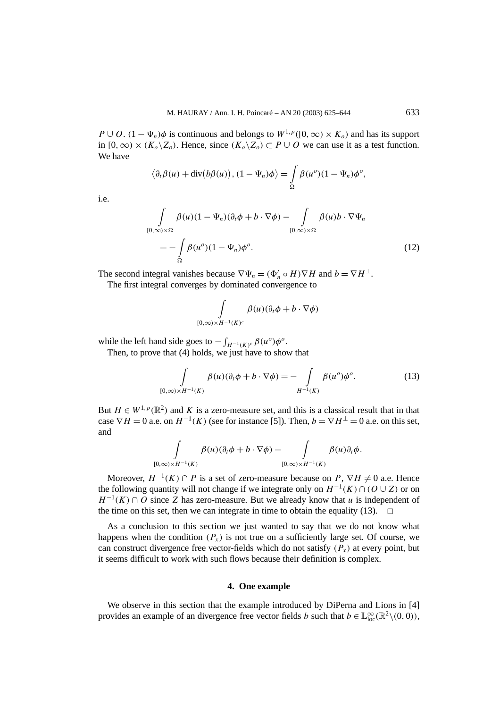*P* ∪ *O*.  $(1 - \Psi_n)\phi$  is continuous and belongs to  $W^{1,p}([0,\infty) \times K_o)$  and has its support in [0, ∞) ×  $(K_o \ X_o)$ . Hence, since  $(K_o \ X_o)$  ⊂ *P* ∪ *O* we can use it as a test function. We have

$$
\langle \partial_t \beta(u) + \mathrm{div}\big(b\beta(u)\big), (1 - \Psi_n)\phi \rangle = \int_{\Omega} \beta(u^o)(1 - \Psi_n)\phi^o,
$$

i.e.

$$
\int_{[0,\infty)\times\Omega} \beta(u)(1 - \Psi_n)(\partial_t \phi + b \cdot \nabla \phi) - \int_{[0,\infty)\times\Omega} \beta(u)b \cdot \nabla \Psi_n
$$

$$
= -\int_{\Omega} \beta(u^o)(1 - \Psi_n)\phi^o.
$$
(12)

The second integral vanishes because  $\nabla \Psi_n = (\Phi'_n \circ H) \nabla H$  and  $b = \nabla H^{\perp}$ .

The first integral converges by dominated convergence to

$$
\int\limits_{[0,\infty)\times H^{-1}(K)^c}\beta(u)(\partial_t\phi+b\cdot\nabla\phi)
$$

while the left hand side goes to  $-\int_{H^{-1}(K)^c} \beta(u^o)\phi^o$ .

Then, to prove that (4) holds, we just have to show that

$$
\int_{[0,\infty)\times H^{-1}(K)} \beta(u)(\partial_t \phi + b \cdot \nabla \phi) = - \int_{H^{-1}(K)} \beta(u^o) \phi^o.
$$
\n(13)

But  $H \in W^{1,p}(\mathbb{R}^2)$  and K is a zero-measure set, and this is a classical result that in that case  $\nabla H = 0$  a.e. on  $H^{-1}(K)$  (see for instance [5]). Then,  $b = \nabla H^{\perp} = 0$  a.e. on this set, and

$$
\int_{[0,\infty)\times H^{-1}(K)} \beta(u)(\partial_t \phi + b \cdot \nabla \phi) = \int_{[0,\infty)\times H^{-1}(K)} \beta(u)\partial_t \phi.
$$

Moreover,  $H^{-1}(K) \cap P$  is a set of zero-measure because on  $P$ ,  $\nabla H \neq 0$  a.e. Hence the following quantity will not change if we integrate only on  $H^{-1}(K) \cap (O \cup Z)$  or on  $H^{-1}(K) \cap O$  since *Z* has zero-measure. But we already know that *u* is independent of the time on this set, then we can integrate in time to obtain the equality (13).  $\Box$ 

As a conclusion to this section we just wanted to say that we do not know what happens when the condition  $(P_x)$  is not true on a sufficiently large set. Of course, we can construct divergence free vector-fields which do not satisfy  $(P_x)$  at every point, but it seems difficult to work with such flows because their definition is complex.

#### **4. One example**

We observe in this section that the example introduced by DiPerna and Lions in [4] provides an example of an divergence free vector fields *b* such that  $b \in \mathbb{L}_{loc}^{\infty}(\mathbb{R}^2 \setminus (0, 0))$ ,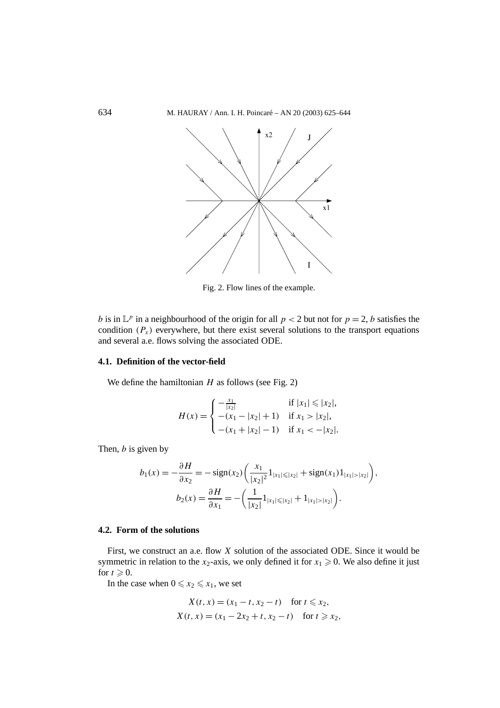

Fig. 2. Flow lines of the example.

*b* is in  $\mathbb{L}^p$  in a neighbourhood of the origin for all  $p < 2$  but not for  $p = 2$ , *b* satisfies the condition  $(P_x)$  everywhere, but there exist several solutions to the transport equations and several a.e. flows solving the associated ODE.

## **4.1. Definition of the vector-field**

We define the hamiltonian  $H$  as follows (see Fig. 2)

$$
H(x) = \begin{cases} -\frac{x_1}{|x_2|} & \text{if } |x_1| \le |x_2|, \\ -(x_1 - |x_2| + 1) & \text{if } x_1 > |x_2|, \\ -(x_1 + |x_2| - 1) & \text{if } x_1 < -|x_2|. \end{cases}
$$

Then, *b* is given by

$$
b_1(x) = -\frac{\partial H}{\partial x_2} = -\operatorname{sign}(x_2) \left( \frac{x_1}{|x_2|^2} 1_{|x_1| \le |x_2|} + \operatorname{sign}(x_1) 1_{|x_1| > |x_2|} \right),
$$

$$
b_2(x) = \frac{\partial H}{\partial x_1} = -\left( \frac{1}{|x_2|} 1_{|x_1| \le |x_2|} + 1_{|x_1| > |x_2|} \right).
$$

## **4.2. Form of the solutions**

First, we construct an a.e. flow *X* solution of the associated ODE. Since it would be symmetric in relation to the  $x_2$ -axis, we only defined it for  $x_1 \ge 0$ . We also define it just for  $t \geqslant 0$ .

In the case when  $0 \leq x_2 \leq x_1$ , we set

$$
X(t, x) = (x_1 - t, x_2 - t) \quad \text{for } t \le x_2,
$$
  
 
$$
X(t, x) = (x_1 - 2x_2 + t, x_2 - t) \quad \text{for } t \ge x_2,
$$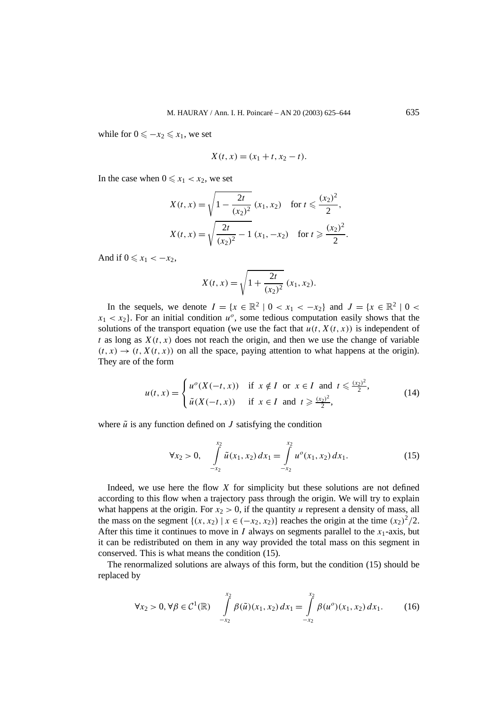while for  $0 \leq -x_2 \leq x_1$ , we set

$$
X(t, x) = (x_1 + t, x_2 - t).
$$

In the case when  $0 \leq x_1 < x_2$ , we set

$$
X(t, x) = \sqrt{1 - \frac{2t}{(x_2)^2}} (x_1, x_2) \text{ for } t \leq \frac{(x_2)^2}{2},
$$
  

$$
X(t, x) = \sqrt{\frac{2t}{(x_2)^2} - 1} (x_1, -x_2) \text{ for } t \geq \frac{(x_2)^2}{2}.
$$

And if  $0 \leq x_1 < -x_2$ ,

$$
X(t, x) = \sqrt{1 + \frac{2t}{(x_2)^2}} (x_1, x_2).
$$

In the sequels, we denote  $I = \{x \in \mathbb{R}^2 \mid 0 < x_1 < -x_2\}$  and  $J = \{x \in \mathbb{R}^2 \mid 0 < x_2\}$  $x_1 < x_2$ . For an initial condition  $u^o$ , some tedious computation easily shows that the solutions of the transport equation (we use the fact that  $u(t, X(t, x))$  is independent of *t* as long as  $X(t, x)$  does not reach the origin, and then we use the change of variable  $(t, x) \rightarrow (t, X(t, x))$  on all the space, paying attention to what happens at the origin). They are of the form

$$
u(t,x) = \begin{cases} u^o(X(-t,x)) & \text{if } x \notin I \text{ or } x \in I \text{ and } t \leq \frac{(x_2)^2}{2}, \\ \tilde{u}(X(-t,x)) & \text{if } x \in I \text{ and } t \geq \frac{(x_2)^2}{2}, \end{cases}
$$
(14)

where  $\tilde{u}$  is any function defined on *J* satisfying the condition

$$
\forall x_2 > 0, \quad \int\limits_{-x_2}^{x_2} \tilde{u}(x_1, x_2) \, dx_1 = \int\limits_{-x_2}^{x_2} u^o(x_1, x_2) \, dx_1. \tag{15}
$$

Indeed, we use here the flow *X* for simplicity but these solutions are not defined according to this flow when a trajectory pass through the origin. We will try to explain what happens at the origin. For  $x_2 > 0$ , if the quantity *u* represent a density of mass, all the mass on the segment  $\{(x, x_2) | x \in (-x_2, x_2)\}$  reaches the origin at the time  $(x_2)^2/2$ . After this time it continues to move in *I* always on segments parallel to the  $x_1$ -axis, but it can be redistributed on them in any way provided the total mass on this segment in conserved. This is what means the condition (15).

The renormalized solutions are always of this form, but the condition (15) should be replaced by

$$
\forall x_2 > 0, \forall \beta \in C^1(\mathbb{R}) \quad \int\limits_{-x_2}^{x_2} \beta(\tilde{u})(x_1, x_2) \, dx_1 = \int\limits_{-x_2}^{x_2} \beta(u^o)(x_1, x_2) \, dx_1. \tag{16}
$$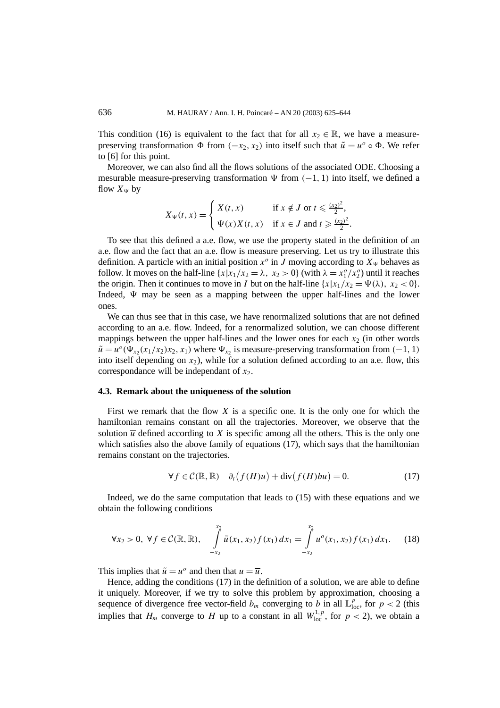This condition (16) is equivalent to the fact that for all  $x_2 \in \mathbb{R}$ , we have a measurepreserving transformation  $\Phi$  from  $(-x_2, x_2)$  into itself such that  $\tilde{u} = u^{\circ} \circ \Phi$ . We refer to [6] for this point.

Moreover, we can also find all the flows solutions of the associated ODE. Choosing a mesurable measure-preserving transformation  $\Psi$  from  $(-1, 1)$  into itself, we defined a flow  $X_{\Psi}$  by

$$
X_{\Psi}(t,x) = \begin{cases} X(t,x) & \text{if } x \notin J \text{ or } t \leqslant \frac{(x_2)^2}{2}, \\ \Psi(x)X(t,x) & \text{if } x \in J \text{ and } t \geqslant \frac{(x_2)^2}{2}. \end{cases}
$$

To see that this defined a a.e. flow, we use the property stated in the definition of an a.e. flow and the fact that an a.e. flow is measure preserving. Let us try to illustrate this definition. A particle with an initial position  $x^o$  in *J* moving according to  $X^{\psi}$  behaves as follow. It moves on the half-line  $\{x | x_1/x_2 = \lambda, x_2 > 0\}$  (with  $\lambda = x_1^o/x_2^o$ ) until it reaches the origin. Then it continues to move in *I* but on the half-line  $\{x|x_1/x_2 = \Psi(\lambda), x_2 < 0\}$ . Indeed,  $\Psi$  may be seen as a mapping between the upper half-lines and the lower ones.

We can thus see that in this case, we have renormalized solutions that are not defined according to an a.e. flow. Indeed, for a renormalized solution, we can choose different mappings between the upper half-lines and the lower ones for each  $x<sub>2</sub>$  (in other words  $\tilde{u} = u^{\circ}(\Psi_{x_2}(x_1/x_2)x_2, x_1)$  where  $\Psi_{x_2}$  is measure-preserving transformation from (−1*,* 1) into itself depending on  $x_2$ ), while for a solution defined according to an a.e. flow, this correspondance will be independant of  $x_2$ .

#### **4.3. Remark about the uniqueness of the solution**

First we remark that the flow *X* is a specific one. It is the only one for which the hamiltonian remains constant on all the trajectories. Moreover, we observe that the solution  $\overline{u}$  defined according to *X* is specific among all the others. This is the only one which satisfies also the above family of equations (17), which says that the hamiltonian remains constant on the trajectories.

$$
\forall f \in \mathcal{C}(\mathbb{R}, \mathbb{R}) \quad \partial_t \big( f(H)u \big) + \text{div} \big( f(H)bu \big) = 0. \tag{17}
$$

Indeed, we do the same computation that leads to (15) with these equations and we obtain the following conditions

$$
\forall x_2 > 0, \ \forall f \in \mathcal{C}(\mathbb{R}, \mathbb{R}), \quad \int\limits_{-x_2}^{x_2} \tilde{u}(x_1, x_2) f(x_1) \, dx_1 = \int\limits_{-x_2}^{x_2} u^o(x_1, x_2) f(x_1) \, dx_1. \tag{18}
$$

This implies that  $\tilde{u} = u^{\circ}$  and then that  $u = \overline{u}$ .

Hence, adding the conditions (17) in the definition of a solution, we are able to define it uniquely. Moreover, if we try to solve this problem by approximation, choosing a sequence of divergence free vector-field  $b_m$  converging to *b* in all  $\mathbb{L}_{loc}^p$ , for  $p < 2$  (this implies that  $H_m$  converge to H up to a constant in all  $W^{1,p}_{loc}$ , for  $p < 2$ ), we obtain a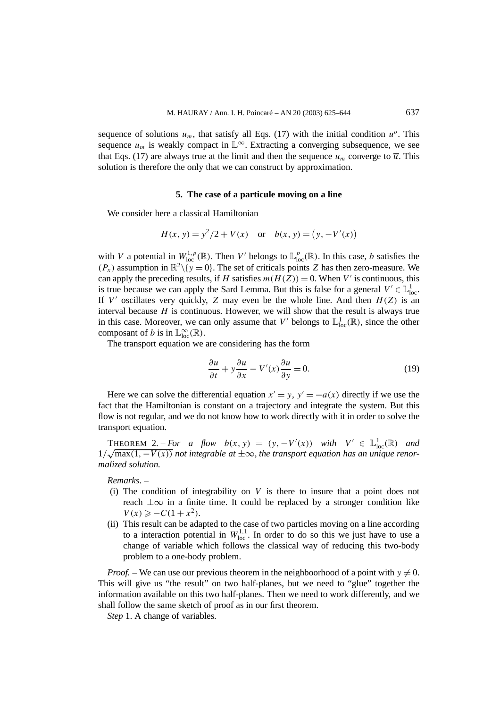sequence of solutions  $u_m$ , that satisfy all Eqs. (17) with the initial condition  $u^o$ . This sequence  $u_m$  is weakly compact in  $\mathbb{L}^\infty$ . Extracting a converging subsequence, we see that Eqs. (17) are always true at the limit and then the sequence  $u_m$  converge to  $\overline{u}$ . This solution is therefore the only that we can construct by approximation.

### **5. The case of a particule moving on a line**

We consider here a classical Hamiltonian

$$
H(x, y) = y^2/2 + V(x) \quad \text{or} \quad b(x, y) = (y, -V'(x))
$$

with *V* a potential in  $W^{1,p}_{loc}(\mathbb{R})$ . Then *V'* belongs to  $\mathbb{L}^p_{loc}(\mathbb{R})$ . In this case, *b* satisfies the  $(P_x)$  assumption in  $\mathbb{R}^2 \setminus \{y = 0\}$ . The set of criticals points *Z* has then zero-measure. We can apply the preceding results, if *H* satisfies  $m(H(Z)) = 0$ . When *V'* is continuous, this is true because we can apply the Sard Lemma. But this is false for a general  $V' \in \mathbb{L}^1_{loc}$ . If  $V'$  oscillates very quickly,  $Z$  may even be the whole line. And then  $H(Z)$  is an interval because *H* is continuous. However, we will show that the result is always true in this case. Moreover, we can only assume that  $V'$  belongs to  $\mathbb{L}^1_{loc}(\mathbb{R})$ , since the other composant of *b* is in  $\mathbb{L}^{\infty}_{loc}(\mathbb{R})$ .

The transport equation we are considering has the form

$$
\frac{\partial u}{\partial t} + y \frac{\partial u}{\partial x} - V'(x) \frac{\partial u}{\partial y} = 0.
$$
 (19)

Here we can solve the differential equation  $x' = y$ ,  $y' = -a(x)$  directly if we use the fact that the Hamiltonian is constant on a trajectory and integrate the system. But this flow is not regular, and we do not know how to work directly with it in order to solve the transport equation.

THEOREM 2. – *For a flow*  $b(x, y) = (y, -V'(x))$  *with*  $V' \in \mathbb{L}^1_{loc}(\mathbb{R})$  *and* **1** HEOREM 2. − For a flow  $b(x, y) = (y, -V(x))$  with  $V \in L_{loc}(\mathbb{R})$  and  $1/\sqrt{\max(1, -V(x))}$  not integrable at  $\pm \infty$ , the transport equation has an unique renor*malized solution.*

*Remarks*. –

- (i) The condition of integrability on *V* is there to insure that a point does not reach  $\pm\infty$  in a finite time. It could be replaced by a stronger condition like  $V(x) \geq -C(1+x^2)$ .
- (ii) This result can be adapted to the case of two particles moving on a line according to a interaction potential in  $W_{\text{loc}}^{1,1}$ . In order to do so this we just have to use a change of variable which follows the classical way of reducing this two-body problem to a one-body problem.

*Proof.* – We can use our previous theorem in the neighboorhood of a point with  $y \neq 0$ . This will give us "the result" on two half-planes, but we need to "glue" together the information available on this two half-planes. Then we need to work differently, and we shall follow the same sketch of proof as in our first theorem.

*Step* 1. A change of variables.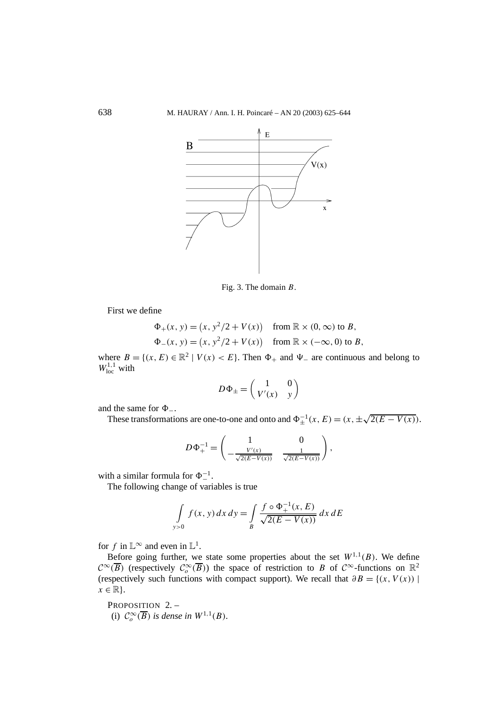

Fig. 3. The domain *B*.

First we define

$$
\Phi_{+}(x, y) = (x, y^{2}/2 + V(x)) \quad \text{from } \mathbb{R} \times (0, \infty) \text{ to } B,
$$
  

$$
\Phi_{-}(x, y) = (x, y^{2}/2 + V(x)) \quad \text{from } \mathbb{R} \times (-\infty, 0) \text{ to } B,
$$

where  $B = \{(x, E) \in \mathbb{R}^2 \mid V(x) < E\}$ . Then  $\Phi_+$  and  $\Psi_-$  are continuous and belong to  $W^{1,1}_{loc}$  with

$$
D\Phi_{\pm} = \begin{pmatrix} 1 & 0 \\ V'(x) & y \end{pmatrix}
$$

and the same for  $\Phi$ <sub>−</sub>.

These transformations are one-to-one and onto and  $\Phi_{\pm}^{-1}(x, E) = (x, \pm \sqrt{2(E - V(x))})$ .

$$
D\Phi_+^{-1} = \begin{pmatrix} 1 & 0 \\ -\frac{V'(x)}{\sqrt{2(E-V(x))}} & \frac{1}{\sqrt{2(E-V(x))}} \end{pmatrix},
$$

with a similar formula for  $\Phi^{-1}_-$ .

The following change of variables is true

$$
\int_{y>0} f(x, y) dx dy = \int_{B} \frac{f \circ \Phi_{+}^{-1}(x, E)}{\sqrt{2(E - V(x))}} dx dE
$$

for *f* in  $\mathbb{L}^{\infty}$  and even in  $\mathbb{L}^{1}$ .

Before going further, we state some properties about the set  $W^{1,1}(B)$ . We define  $\mathcal{C}^{\infty}(\overline{B})$  (respectively  $\mathcal{C}^{\infty}$  *(B)*) the space of restriction to *B* of  $\mathcal{C}^{\infty}$ -functions on  $\mathbb{R}^2$ (respectively such functions with compact support). We recall that  $\partial B = \{(x, V(x)) |$  $x \in \mathbb{R}$ .

PROPOSITION 2. -(i)  $C_o^{\infty}(\overline{B})$  *is dense in*  $W^{1,1}(B)$ *.*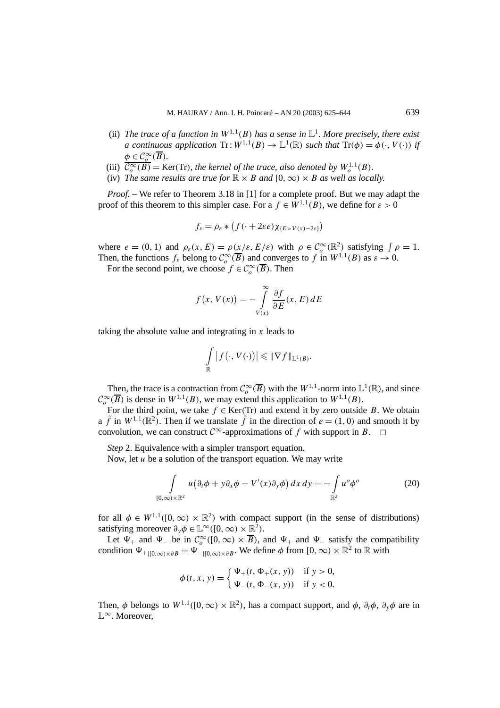- (ii) *The trace of a function in*  $W^{1,1}(B)$  *has a sense in*  $\mathbb{L}^1$ *. More precisely, there exist a continuous application*  $\text{Tr} : W^{1,1}(B) \to \mathbb{L}^1(\mathbb{R})$  *such that*  $\text{Tr}(\phi) = \phi(\cdot, V(\cdot))$  *if*  $\phi \in C_o^{\infty}(\overline{B})$ *.*
- (iii)  $\overline{\mathcal{C}_o^{\infty}(B)} = \text{Ker}(Tr)$ *, the kernel of the trace, also denoted by*  $W_o^{1,1}(B)$ *.*
- (iv) *The same results are true for*  $\mathbb{R} \times B$  *and*  $[0, \infty) \times B$  *as well as locally.*

*Proof. –* We refer to Theorem 3.18 in [1] for a complete proof. But we may adapt the proof of this theorem to this simpler case. For a  $f \in W^{1,1}(B)$ , we define for  $\varepsilon > 0$ 

$$
f_{\varepsilon} = \rho_{\varepsilon} * (f(\cdot + 2\varepsilon e) \chi_{\{E > V(x) - 2\varepsilon\}})
$$

where  $e = (0, 1)$  and  $\rho_{\varepsilon}(x, E) = \rho(x/\varepsilon, E/\varepsilon)$  with  $\rho \in C_o^{\infty}(\mathbb{R}^2)$  satisfying  $\int \rho = 1$ . Then, the functions  $f_{\varepsilon}$  belong to  $C_o^{\infty}(\overline{B})$  and converges to *f* in  $W^{1,1}(B)$  as  $\varepsilon \to 0$ .

For the second point, we choose  $f \in C_o^{\infty}(\overline{B})$ . Then

$$
f(x, V(x)) = -\int_{V(x)}^{\infty} \frac{\partial f}{\partial E}(x, E) dE
$$

taking the absolute value and integrating in *x* leads to

$$
\int_{\mathbb{R}} |f(\cdot, V(\cdot))| \leq \|\nabla f\|_{\mathbb{L}^1(B)}.
$$

Then, the trace is a contraction from  $C_o^{\infty}(\overline{B})$  with the  $W^{1,1}$ -norm into  $\mathbb{L}^1(\mathbb{R})$ , and since  $\mathcal{C}_o^{\infty}(\overline{B})$  is dense in  $W^{1,1}(B)$ , we may extend this application to  $W^{1,1}(B)$ .

For the third point, we take  $f \in \text{Ker}(Tr)$  and extend it by zero outside *B*. We obtain a  $\tilde{f}$  in  $W^{1,1}(\mathbb{R}^2)$ . Then if we translate  $\tilde{f}$  in the direction of  $e = (1,0)$  and smooth it by convolution, we can construct  $\mathcal{C}^{\infty}$ -approximations of *f* with support in *B*.  $\Box$ 

*Step* 2. Equivalence with a simpler transport equation.

Now, let *u* be a solution of the transport equation. We may write

$$
\int_{[0,\infty)\times\mathbb{R}^2} u(\partial_t \phi + y \partial_x \phi - V'(x) \partial_y \phi) dx dy = -\int_{\mathbb{R}^2} u^o \phi^o \tag{20}
$$

for all  $\phi \in W^{1,1}([0,\infty) \times \mathbb{R}^2)$  with compact support (in the sense of distributions) satisfying moreover  $\partial_{\nu} \phi \in \mathbb{L}^{\infty}([0,\infty) \times \mathbb{R}^2)$ .

Let  $\Psi_+$  and  $\Psi_-$  be in  $C_o^{\infty}([0,\infty) \times \overline{B})$ , and  $\Psi_+$  and  $\Psi_-$  satisfy the compatibility condition  $\Psi_{+|0,\infty)\times \partial B} = \Psi_{-|0,\infty)\times \partial B}$ . We define  $\phi$  from  $[0,\infty)\times \mathbb{R}^2$  to  $\mathbb R$  with

$$
\phi(t, x, y) = \begin{cases} \Psi_{+}(t, \Phi_{+}(x, y)) & \text{if } y > 0, \\ \Psi_{-}(t, \Phi_{-}(x, y)) & \text{if } y < 0. \end{cases}
$$

Then,  $\phi$  belongs to  $W^{1,1}([0,\infty) \times \mathbb{R}^2)$ , has a compact support, and  $\phi$ ,  $\partial_t \phi$ ,  $\partial_y \phi$  are in L<sup>∞</sup>. Moreover,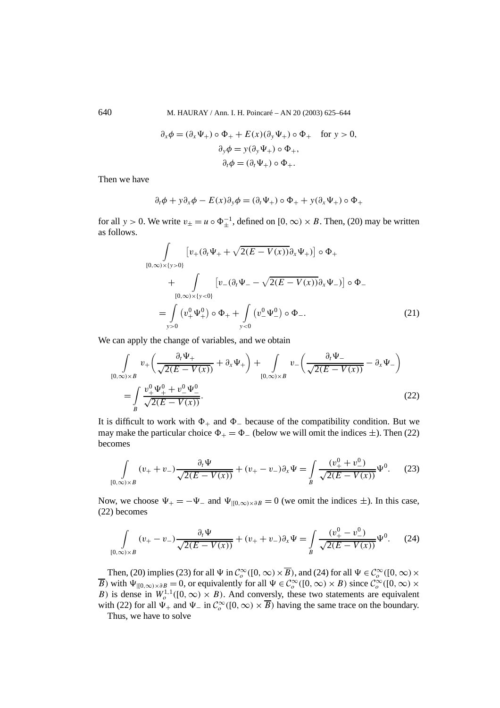640 M. HAURAY / Ann. I. H. Poincaré – AN 20 (2003) 625–644

$$
\partial_x \phi = (\partial_x \Psi_+) \circ \Phi_+ + E(x)(\partial_y \Psi_+) \circ \Phi_+ \quad \text{for } y > 0,
$$
  

$$
\partial_y \phi = y(\partial_y \Psi_+) \circ \Phi_+,
$$
  

$$
\partial_t \phi = (\partial_t \Psi_+) \circ \Phi_+.
$$

Then we have

$$
\partial_t \phi + y \partial_x \phi - E(x) \partial_y \phi = (\partial_t \Psi_+) \circ \Phi_+ + y (\partial_x \Psi_+) \circ \Phi_+
$$

for all *y* > 0. We write  $v_{\pm} = u \circ \Phi_{\pm}^{-1}$ , defined on [0,  $\infty$ ) × *B*. Then, (20) may be written as follows.

$$
\int_{[0,\infty)\times\{y>0\}} \left[ v_{+}(\partial_{t} \Psi_{+} + \sqrt{2(E-V(x))} \partial_{x} \Psi_{+}) \right] \circ \Phi_{+} \n+ \int_{[0,\infty)\times\{y<0\}} \left[ v_{-}(\partial_{t} \Psi_{-} - \sqrt{2(E-V(x))} \partial_{x} \Psi_{-}) \right] \circ \Phi_{-} \n= \int_{y>0} (v_{+}^{0} \Psi_{+}^{0}) \circ \Phi_{+} + \int_{y<0} (v_{-}^{0} \Psi_{-}^{0}) \circ \Phi_{-}.
$$
\n(21)

We can apply the change of variables, and we obtain

$$
\int_{[0,\infty)\times B} v_+\left(\frac{\partial_t \Psi_+}{\sqrt{2(E-V(x))}} + \partial_x \Psi_+\right) + \int_{[0,\infty)\times B} v_-\left(\frac{\partial_t \Psi_-}{\sqrt{2(E-V(x))}} - \partial_x \Psi_-\right)
$$
\n
$$
= \int_{B} \frac{v_+^0 \Psi_+^0 + v_-^0 \Psi_-^0}{\sqrt{2(E-V(x))}}.
$$
\n(22)

It is difficult to work with  $\Phi_+$  and  $\Phi_-$  because of the compatibility condition. But we may make the particular choice  $\Phi_+ = \Phi_-$  (below we will omit the indices  $\pm$ ). Then (22) becomes

$$
\int_{[0,\infty)\times B} (v_+ + v_-) \frac{\partial_t \Psi}{\sqrt{2(E - V(x))}} + (v_+ - v_-) \partial_x \Psi = \int_B \frac{(v_+^0 + v_-^0)}{\sqrt{2(E - V(x))}} \Psi^0.
$$
 (23)

Now, we choose  $\Psi_+ = -\Psi_-$  and  $\Psi_{|[0,\infty)\times \partial B} = 0$  (we omit the indices  $\pm$ ). In this case, (22) becomes

$$
\int_{[0,\infty)\times B} (v_+ - v_-) \frac{\partial_t \Psi}{\sqrt{2(E - V(x))}} + (v_+ + v_-) \partial_x \Psi = \int_B \frac{(v_+^0 - v_-^0)}{\sqrt{2(E - V(x))}} \Psi^0.
$$
 (24)

Then, (20) implies (23) for all  $\Psi$  in  $C_o^{\infty}([0, \infty) \times \overline{B})$ , and (24) for all  $\Psi \in C_o^{\infty}([0, \infty) \times$ *B*) with  $\Psi_{|[0,\infty)\times \partial B} = 0$ , or equivalently for all  $\Psi \in C^\infty$  ( $[0,\infty) \times B$ ) since  $C^\infty$  ( $[0,\infty) \times$ *B*) is dense in  $W_0^{1,1}([0,\infty) \times B)$ . And conversly, these two statements are equivalent with (22) for all  $\Psi_+$  and  $\Psi_-$  in  $C_o^{\infty}([0, \infty) \times \overline{B})$  having the same trace on the boundary.

Thus, we have to solve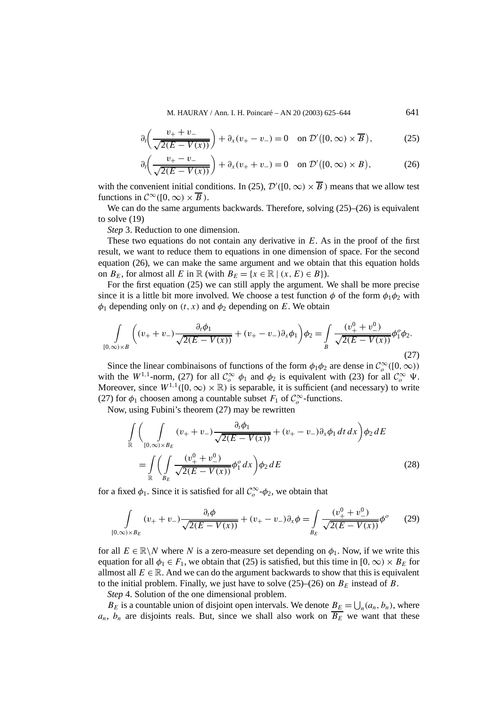$$
\partial_t \left( \frac{v_+ + v_-}{\sqrt{2(E - V(x))}} \right) + \partial_x (v_+ - v_-) = 0 \quad \text{on } \mathcal{D}'([0, \infty) \times \overline{B}), \tag{25}
$$

$$
\partial_t \left( \frac{v_+ - v_-}{\sqrt{2(E - V(x))}} \right) + \partial_x (v_+ + v_-) = 0 \quad \text{on } \mathcal{D}'([0, \infty) \times B), \tag{26}
$$

with the convenient initial conditions. In (25),  $\mathcal{D}'([0,\infty) \times \overline{B})$  means that we allow test functions in  $\mathcal{C}^{\infty}([0,\infty)\times\overline{B})$ .

We can do the same arguments backwards. Therefore, solving  $(25)$ – $(26)$  is equivalent to solve (19)

*Step* 3. Reduction to one dimension.

These two equations do not contain any derivative in *E*. As in the proof of the first result, we want to reduce them to equations in one dimension of space. For the second equation (26), we can make the same argument and we obtain that this equation holds on  $B_E$ , for almost all *E* in  $\mathbb{R}$  (with  $B_E = \{x \in \mathbb{R} \mid (x, E) \in B\}$ ).

For the first equation (25) we can still apply the argument. We shall be more precise since it is a little bit more involved. We choose a test function  $\phi$  of the form  $\phi_1\phi_2$  with  $\phi_1$  depending only on  $(t, x)$  and  $\phi_2$  depending on *E*. We obtain

$$
\int_{[0,\infty)\times B} \left( (v_+ + v_-) \frac{\partial_t \phi_1}{\sqrt{2(E - V(x))}} + (v_+ - v_-) \partial_x \phi_1 \right) \phi_2 = \int_B \frac{(v_+^0 + v_-^0)}{\sqrt{2(E - V(x))}} \phi_1^0 \phi_2.
$$
\n(27)

Since the linear combinaisons of functions of the form  $\phi_1 \phi_2$  are dense in  $C_o^{\infty}([0, \infty))$ with the  $W^{1,1}$ -norm, (27) for all  $C_o^{\infty} \phi_1$  and  $\phi_2$  is equivalent with (23) for all  $C_o^{\infty} \Psi$ . Moreover, since  $W^{1,1}([0,\infty) \times \mathbb{R})$  is separable, it is sufficient (and necessary) to write (27) for  $\phi_1$  choosen among a countable subset  $F_1$  of  $C_o^{\infty}$ -functions.

Now, using Fubini's theorem (27) may be rewritten

$$
\int_{\mathbb{R}} \left( \int_{[0,\infty)\times B_E} (v_+ + v_-) \frac{\partial_t \phi_1}{\sqrt{2(E - V(x))}} + (v_+ - v_-) \partial_x \phi_1 dt dx \right) \phi_2 dE
$$
\n
$$
= \int_{\mathbb{R}} \left( \int_{B_E} \frac{(v_+^0 + v_-^0)}{\sqrt{2(E - V(x))}} \phi_1^o dx \right) \phi_2 dE
$$
\n(28)

for a fixed  $\phi_1$ . Since it is satisfied for all  $\mathcal{C}_o^{\infty}$ - $\phi_2$ , we obtain that

$$
\int_{[0,\infty)\times B_E} (v_+ + v_-) \frac{\partial_t \phi}{\sqrt{2(E - V(x))}} + (v_+ - v_-) \partial_x \phi = \int_{B_E} \frac{(v_+^0 + v_-^0)}{\sqrt{2(E - V(x))}} \phi^o \tag{29}
$$

for all  $E \in \mathbb{R} \setminus N$  where N is a zero-measure set depending on  $\phi_1$ . Now, if we write this equation for all  $\phi_1 \in F_1$ , we obtain that (25) is satisfied, but this time in [0, ∞) ×  $B_E$  for allmost all  $E \in \mathbb{R}$ . And we can do the argument backwards to show that this is equivalent to the initial problem. Finally, we just have to solve  $(25)$ – $(26)$  on  $B<sub>E</sub>$  instead of *B*.

*Step* 4. Solution of the one dimensional problem.

 $B_E$  is a countable union of disjoint open intervals. We denote  $B_E = \bigcup_n (a_n, b_n)$ , where  $a_n$ ,  $b_n$  are disjoints reals. But, since we shall also work on  $\overline{B_E}$  we want that these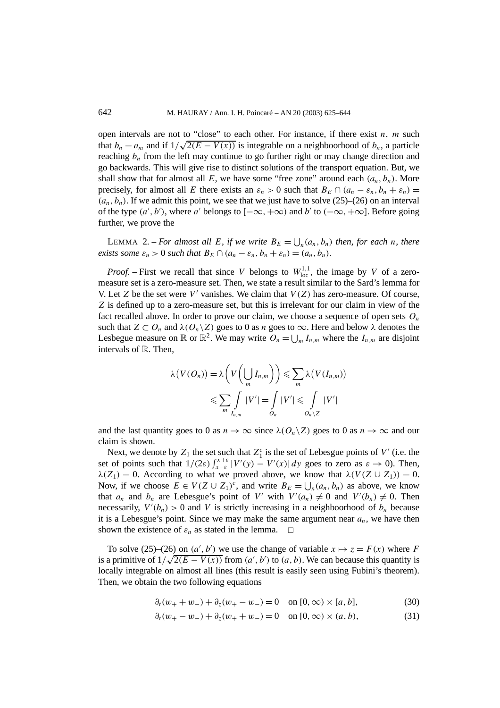open intervals are not to "close" to each other. For instance, if there exist *n, m* such open intervals are not to close to each other, For instance, if there exist *n*, *m* such that  $b_n = a_m$  and if  $1/\sqrt{2(E - V(x))}$  is integrable on a neighboorhood of  $b_n$ , a particle reaching  $b_n$  from the left may continue to go further right or may change direction and go backwards. This will give rise to distinct solutions of the transport equation. But, we shall show that for almost all  $E$ , we have some "free zone" around each  $(a_n, b_n)$ . More precisely, for almost all *E* there exists an  $\varepsilon_n > 0$  such that  $B_E \cap (a_n - \varepsilon_n, b_n + \varepsilon_n) =$  $(a_n, b_n)$ . If we admit this point, we see that we just have to solve (25)–(26) on an interval of the type  $(a', b')$ , where *a'* belongs to  $[-\infty, +\infty)$  and *b'* to  $(-\infty, +\infty]$ . Before going further, we prove the

LEMMA 2. – *For almost all E, if we write*  $B_E = \bigcup_n (a_n, b_n)$  *then, for each n, there exists some*  $\varepsilon_n > 0$  *such that*  $B_E \cap (a_n - \varepsilon_n, b_n + \varepsilon_n) = (a_n, b_n)$ *.* 

*Proof.* – First we recall that since *V* belongs to  $W_{\text{loc}}^{1,1}$ , the image by *V* of a zeromeasure set is a zero-measure set. Then, we state a result similar to the Sard's lemma for V. Let *Z* be the set were  $V'$  vanishes. We claim that  $V(Z)$  has zero-measure. Of course, *Z* is defined up to a zero-measure set, but this is irrelevant for our claim in view of the fact recalled above. In order to prove our claim, we choose a sequence of open sets *On* such that  $Z \subset O_n$  and  $\lambda(O_n \backslash Z)$  goes to 0 as *n* goes to  $\infty$ . Here and below  $\lambda$  denotes the Lesbegue measure on  $\mathbb{R}$  or  $\mathbb{R}^2$ . We may write  $O_n = \bigcup_m I_{n,m}$  where the  $I_{n,m}$  are disjoint intervals of R. Then,

$$
\lambda(V(O_n)) = \lambda \left(V\left(\bigcup_{m} I_{n,m}\right)\right) \leqslant \sum_{m} \lambda \left(V(I_{n,m})\right)
$$
  

$$
\leqslant \sum_{m} \int_{I_{n,m}} |V'| = \int_{O_n} |V'| \leqslant \int_{O_n \setminus Z} |V'|
$$

and the last quantity goes to 0 as  $n \to \infty$  since  $\lambda(O_n \backslash Z)$  goes to 0 as  $n \to \infty$  and our claim is shown.

Next, we denote by  $Z_1$  the set such that  $Z_1^c$  is the set of Lebesgue points of *V'* (i.e. the set of points such that  $1/(2\varepsilon)\int_{x-\varepsilon}^{x+\varepsilon} |V'(y) - V'(x)| dy$  goes to zero as  $\varepsilon \to 0$ ). Then,  $\lambda(Z_1) = 0$ . According to what we proved above, we know that  $\lambda(V(Z \cup Z_1)) = 0$ . Now, if we choose  $E \in V(Z \cup Z_1)^c$ , and write  $B_E = \bigcup_n (a_n, b_n)$  as above, we know that  $a_n$  and  $b_n$  are Lebesgue's point of V' with  $V'(a_n) \neq 0$  and  $V'(b_n) \neq 0$ . Then necessarily,  $V'(b_n) > 0$  and *V* is strictly increasing in a neighboorhood of  $b_n$  because it is a Lebesgue's point. Since we may make the same argument near  $a_n$ , we have then shown the existence of  $\varepsilon_n$  as stated in the lemma.  $\Box$ 

To solve (25)–(26) on  $(a', b')$  we use the change of variable  $x \mapsto z = F(x)$  where *F* is a primitive of  $1/\sqrt{2(E - V(x))}$  from  $(a', b')$  to  $(a, b)$ . We can because this quantity is locally integrable on almost all lines (this result is easily seen using Fubini's theorem). Then, we obtain the two following equations

$$
\partial_t (w_+ + w_-) + \partial_z (w_+ - w_-) = 0 \quad \text{on } [0, \infty) \times [a, b], \tag{30}
$$

$$
\partial_t (w_+ - w_-) + \partial_z (w_+ + w_-) = 0 \quad \text{on } [0, \infty) \times (a, b), \tag{31}
$$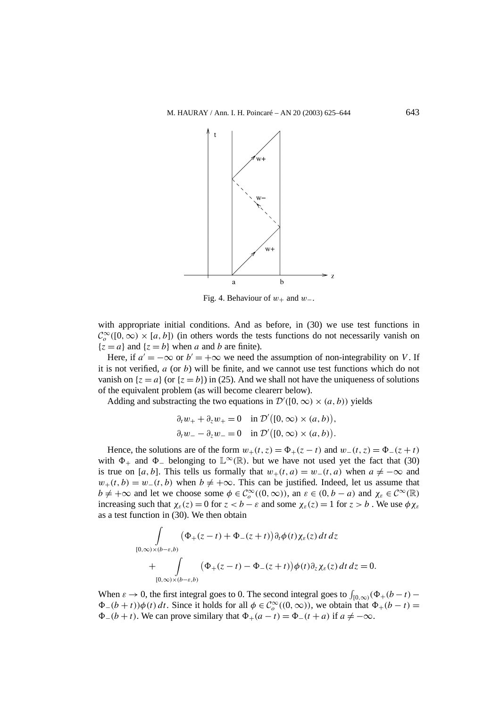

Fig. 4. Behaviour of  $w_+$  and  $w_-$ .

with appropriate initial conditions. And as before, in (30) we use test functions in  $\mathcal{C}_o^{\infty}([0,\infty) \times [a,b])$  (in others words the tests functions do not necessarily vanish on  ${z = a}$  and  ${z = b}$  when *a* and *b* are finite).

Here, if  $a' = -\infty$  or  $b' = +\infty$  we need the assumption of non-integrability on *V*. If it is not verified, *a* (or *b*) will be finite, and we cannot use test functions which do not vanish on  $\{z = a\}$  (or  $\{z = b\}$ ) in (25). And we shall not have the uniqueness of solutions of the equivalent problem (as will become clearerr below).

Adding and substracting the two equations in  $\mathcal{D}'([0,\infty) \times (a,b))$  yields

$$
\partial_t w_+ + \partial_z w_+ = 0 \quad \text{in } \mathcal{D}'([0, \infty) \times (a, b)),
$$
  

$$
\partial_t w_- - \partial_z w_- = 0 \quad \text{in } \mathcal{D}'([0, \infty) \times (a, b)).
$$

Hence, the solutions are of the form  $w_+(t, z) = \Phi_+(z - t)$  and  $w_-(t, z) = \Phi_-(z + t)$ with  $\Phi_+$  and  $\Phi_-$  belonging to  $\mathbb{L}^{\infty}(\mathbb{R})$ . but we have not used yet the fact that (30) is true on [*a, b*]. This tells us formally that  $w_+(t, a) = w_-(t, a)$  when  $a \neq -\infty$  and  $w_+(t, b) = w_-(t, b)$  when  $b \neq +\infty$ . This can be justified. Indeed, let us assume that  $b \neq +\infty$  and let we choose some  $\phi \in C_o^{\infty}((0, \infty))$ , an  $\varepsilon \in (0, b - a)$  and  $\chi_{\varepsilon} \in C^{\infty}(\mathbb{R})$ increasing such that  $\chi_{\varepsilon}(z) = 0$  for  $z < b - \varepsilon$  and some  $\chi_{\varepsilon}(z) = 1$  for  $z > b$ . We use  $\phi \chi_{\varepsilon}(z) = 0$ as a test function in (30). We then obtain

$$
\int_{[0,\infty)\times(b-\varepsilon,b)} (\Phi_+(z-t)+\Phi_-(z+t))\partial_t \phi(t)\chi_{\varepsilon}(z) dt dz \n+ \int_{[0,\infty)\times(b-\varepsilon,b)} (\Phi_+(z-t)-\Phi_-(z+t))\phi(t)\partial_z \chi_{\varepsilon}(z) dt dz = 0.
$$

When  $\varepsilon \to 0$ , the first integral goes to 0. The second integral goes to  $\int_{[0,\infty)} (\Phi_+(b-t) \Phi_-(b+t)\phi(t) dt$ . Since it holds for all  $\phi \in C_o^{\infty}((0,\infty))$ , we obtain that  $\Phi_+(b-t)$  $\Phi_-(b+t)$ *.* We can prove similary that  $\Phi_+(a-t) = \Phi_-(t+a)$  if  $a \neq -\infty$ .